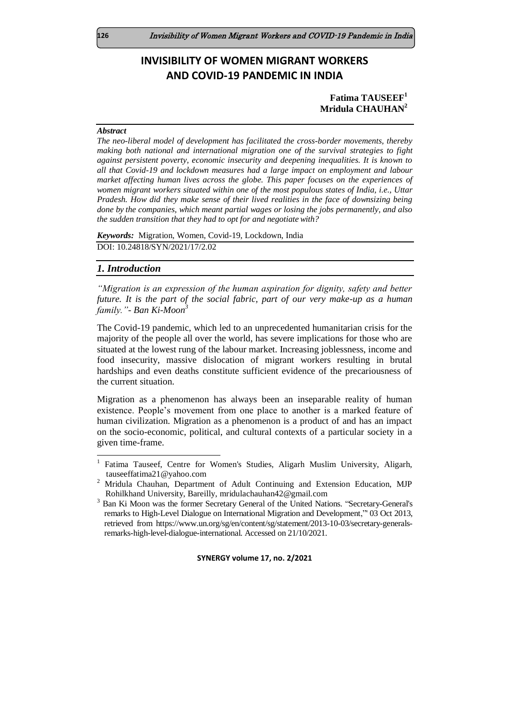# **INVISIBILITY OF WOMEN MIGRANT WORKERS AND COVID-19 PANDEMIC IN INDIA**

### **Fatima TAUSEEF<sup>1</sup> Mridula CHAUHAN<sup>2</sup>**

#### *Abstract*

*The neo-liberal model of development has facilitated the cross-border movements, thereby making both national and international migration one of the survival strategies to fight against persistent poverty, economic insecurity and deepening inequalities. It is known to all that Covid-19 and lockdown measures had a large impact on employment and labour market affecting human lives across the globe. This paper focuses on the experiences of women migrant workers situated within one of the most populous states of India, i.e., Uttar Pradesh. How did they make sense of their lived realities in the face of downsizing being done by the companies, which meant partial wages or losing the jobs permanently, and also the sudden transition that they had to opt for and negotiate with?*

*Keywords:* Migration, Women, Covid-19, Lockdown, India DOI: 10.24818/SYN/2021/17/2.02

#### *1. Introduction*

l

*"Migration is an expression of the human aspiration for dignity, safety and better future. It is the part of the social fabric, part of our very make-up as a human family."- Ban Ki-Moon<sup>3</sup>*

The Covid-19 pandemic, which led to an unprecedented humanitarian crisis for the majority of the people all over the world, has severe implications for those who are situated at the lowest rung of the labour market. Increasing joblessness, income and food insecurity, massive dislocation of migrant workers resulting in brutal hardships and even deaths constitute sufficient evidence of the precariousness of the current situation.

Migration as a phenomenon has always been an inseparable reality of human existence. People's movement from one place to another is a marked feature of human civilization. Migration as a phenomenon is a product of and has an impact on the socio-economic, political, and cultural contexts of a particular society in a given time-frame.

<sup>1</sup> Fatima Tauseef, Centre for Women's Studies, Aligarh Muslim University, Aligarh, [tauseeffatima21@yahoo.com](mailto:tauseeffatima21@yahoo.com)

<sup>2</sup> Mridula Chauhan, Department of Adult Continuing and Extension Education, MJP Rohilkhand University, Bareilly, [mridulachauhan42@gmail.com](mailto:mridulachauhan42@gmail.com)

<sup>3</sup> Ban Ki Moon was the former Secretary General of the United Nations. "Secretary-General's remarks to High-Level Dialogue on International Migration and Development,"' 03 Oct 2013, retrieved from https://www.un.org/sg/en/content/sg/statement/2013-10-03/secretary-generalsremarks-high-level-dialogue-international. Accessed on 21/10/2021.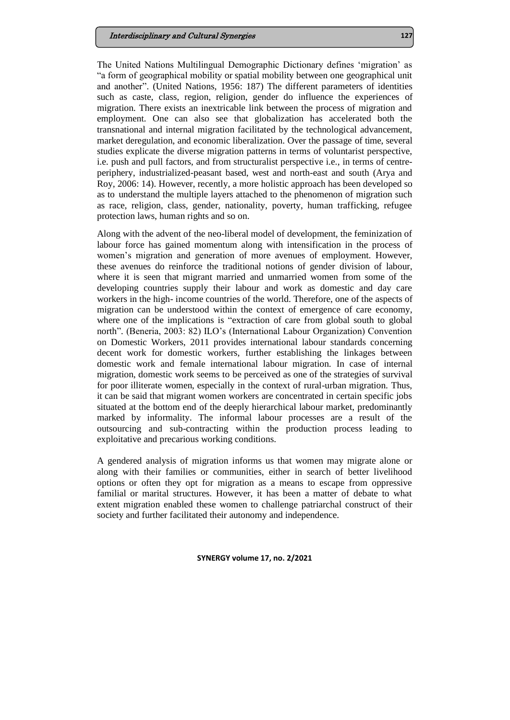#### Interdisciplinary and Cultural Synergies **127**

The United Nations Multilingual Demographic Dictionary defines 'migration' as "a form of geographical mobility or spatial mobility between one geographical unit and another". (United Nations, 1956: 187) The different parameters of identities such as caste, class, region, religion, gender do influence the experiences of migration. There exists an inextricable link between the process of migration and employment. One can also see that globalization has accelerated both the transnational and internal migration facilitated by the technological advancement, market deregulation, and economic liberalization. Over the passage of time, several studies explicate the diverse migration patterns in terms of voluntarist perspective, i.e. push and pull factors, and from structuralist perspective i.e., in terms of centreperiphery, industrialized-peasant based, west and north-east and south (Arya and Roy, 2006: 14). However, recently, a more holistic approach has been developed so as to understand the multiple layers attached to the phenomenon of migration such as race, religion, class, gender, nationality, poverty, human trafficking, refugee protection laws, human rights and so on.

Along with the advent of the neo-liberal model of development, the feminization of labour force has gained momentum along with intensification in the process of women's migration and generation of more avenues of employment. However, these avenues do reinforce the traditional notions of gender division of labour, where it is seen that migrant married and unmarried women from some of the developing countries supply their labour and work as domestic and day care workers in the high- income countries of the world. Therefore, one of the aspects of migration can be understood within the context of emergence of care economy, where one of the implications is "extraction of care from global south to global north". (Beneria, 2003: 82) ILO's (International Labour Organization) Convention on Domestic Workers, 2011 provides international labour standards concerning decent work for domestic workers, further establishing the linkages between domestic work and female international labour migration. In case of internal migration, domestic work seems to be perceived as one of the strategies of survival for poor illiterate women, especially in the context of rural-urban migration. Thus, it can be said that migrant women workers are concentrated in certain specific jobs situated at the bottom end of the deeply hierarchical labour market, predominantly marked by informality. The informal labour processes are a result of the outsourcing and sub-contracting within the production process leading to exploitative and precarious working conditions.

A gendered analysis of migration informs us that women may migrate alone or along with their families or communities, either in search of better livelihood options or often they opt for migration as a means to escape from oppressive familial or marital structures. However, it has been a matter of debate to what extent migration enabled these women to challenge patriarchal construct of their society and further facilitated their autonomy and independence.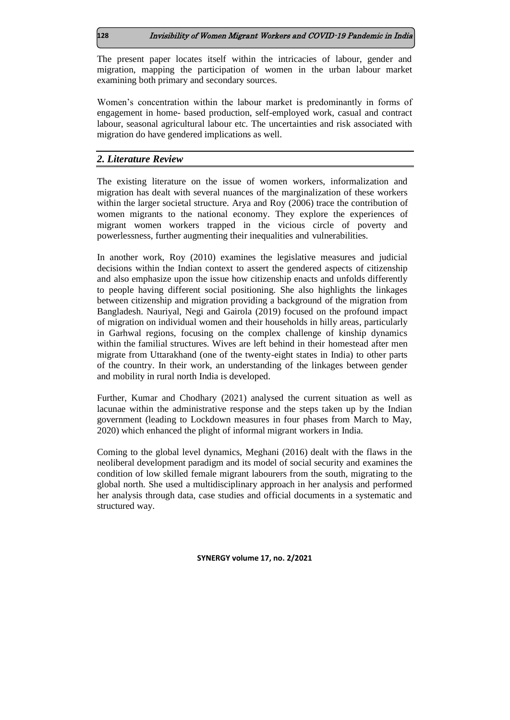### **128** Invisibility of Women Migrant Workers and COVID-19 Pandemic in India

The present paper locates itself within the intricacies of labour, gender and migration, mapping the participation of women in the urban labour market examining both primary and secondary sources.

Women's concentration within the labour market is predominantly in forms of engagement in home- based production, self-employed work, casual and contract labour, seasonal agricultural labour etc. The uncertainties and risk associated with migration do have gendered implications as well.

# *2. Literature Review*

The existing literature on the issue of women workers, informalization and migration has dealt with several nuances of the marginalization of these workers within the larger societal structure. Arya and Roy (2006) trace the contribution of women migrants to the national economy. They explore the experiences of migrant women workers trapped in the vicious circle of poverty and powerlessness, further augmenting their inequalities and vulnerabilities.

In another work, Roy (2010) examines the legislative measures and judicial decisions within the Indian context to assert the gendered aspects of citizenship and also emphasize upon the issue how citizenship enacts and unfolds differently to people having different social positioning. She also highlights the linkages between citizenship and migration providing a background of the migration from Bangladesh. Nauriyal, Negi and Gairola (2019) focused on the profound impact of migration on individual women and their households in hilly areas, particularly in Garhwal regions, focusing on the complex challenge of kinship dynamics within the familial structures. Wives are left behind in their homestead after men migrate from Uttarakhand (one of the twenty-eight states in India) to other parts of the country. In their work, an understanding of the linkages between gender and mobility in rural north India is developed.

Further, Kumar and Chodhary (2021) analysed the current situation as well as lacunae within the administrative response and the steps taken up by the Indian government (leading to Lockdown measures in four phases from March to May, 2020) which enhanced the plight of informal migrant workers in India.

Coming to the global level dynamics, Meghani (2016) dealt with the flaws in the neoliberal development paradigm and its model of social security and examines the condition of low skilled female migrant labourers from the south, migrating to the global north. She used a multidisciplinary approach in her analysis and performed her analysis through data, case studies and official documents in a systematic and structured way.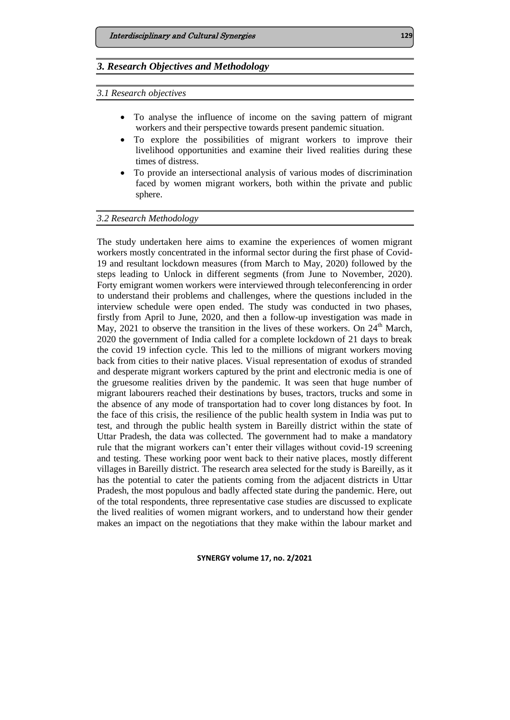# *3. Research Objectives and Methodology*

*3.1 Research objectives*

- To analyse the influence of income on the saving pattern of migrant workers and their perspective towards present pandemic situation.
- To explore the possibilities of migrant workers to improve their livelihood opportunities and examine their lived realities during these times of distress.
- To provide an intersectional analysis of various modes of discrimination faced by women migrant workers, both within the private and public sphere.

### *3.2 Research Methodology*

The study undertaken here aims to examine the experiences of women migrant workers mostly concentrated in the informal sector during the first phase of Covid-19 and resultant lockdown measures (from March to May, 2020) followed by the steps leading to Unlock in different segments (from June to November, 2020). Forty emigrant women workers were interviewed through teleconferencing in order to understand their problems and challenges, where the questions included in the interview schedule were open ended. The study was conducted in two phases, firstly from April to June, 2020, and then a follow-up investigation was made in May, 2021 to observe the transition in the lives of these workers. On  $24<sup>th</sup>$  March, 2020 the government of India called for a complete lockdown of 21 days to break the covid 19 infection cycle. This led to the millions of migrant workers moving back from cities to their native places. Visual representation of exodus of stranded and desperate migrant workers captured by the print and electronic media is one of the gruesome realities driven by the pandemic. It was seen that huge number of migrant labourers reached their destinations by buses, tractors, trucks and some in the absence of any mode of transportation had to cover long distances by foot. In the face of this crisis, the resilience of the public health system in India was put to test, and through the public health system in Bareilly district within the state of Uttar Pradesh, the data was collected. The government had to make a mandatory rule that the migrant workers can't enter their villages without covid-19 screening and testing. These working poor went back to their native places, mostly different villages in Bareilly district. The research area selected for the study is Bareilly, as it has the potential to cater the patients coming from the adjacent districts in Uttar Pradesh, the most populous and badly affected state during the pandemic. Here, out of the total respondents, three representative case studies are discussed to explicate the lived realities of women migrant workers, and to understand how their gender makes an impact on the negotiations that they make within the labour market and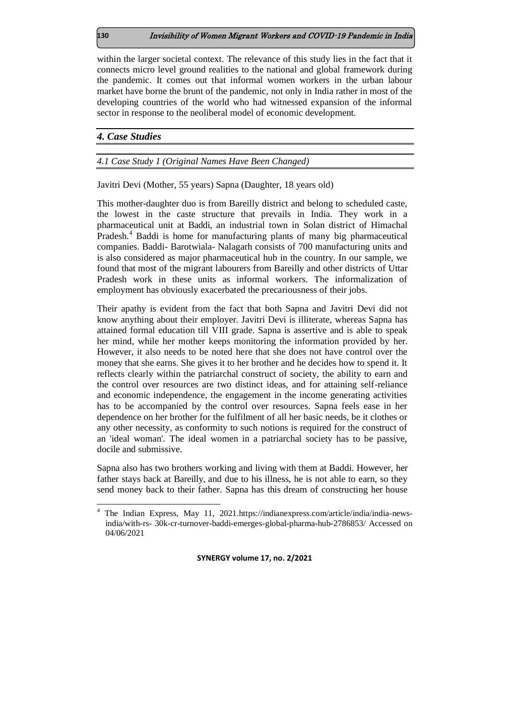within the larger societal context. The relevance of this study lies in the fact that it connects micro level ground realities to the national and global framework during the pandemic. It comes out that informal women workers in the urban labour market have borne the brunt of the pandemic, not only in India rather in most of the developing countries of the world who had witnessed expansion of the informal sector in response to the neoliberal model of economic development.

### *4. Case Studies*

### *4.1 Case Study 1 (Original Names Have Been Changed)*

Javitri Devi (Mother, 55 years) Sapna (Daughter, 18 years old)

This mother-daughter duo is from Bareilly district and belong to scheduled caste, the lowest in the caste structure that prevails in India. They work in a pharmaceutical unit at Baddi, an industrial town in Solan district of Himachal Pradesh.<sup>4</sup> Baddi is home for manufacturing plants of many big pharmaceutical companies. Baddi- Barotwiala- Nalagarh consists of 700 manufacturing units and is also considered as major pharmaceutical hub in the country. In our sample, we found that most of the migrant labourers from Bareilly and other districts of Uttar Pradesh work in these units as informal workers. The informalization of employment has obviously exacerbated the precariousness of their jobs.

Their apathy is evident from the fact that both Sapna and Javitri Devi did not know anything about their employer. Javitri Devi is illiterate, whereas Sapna has attained formal education till VIII grade. Sapna is assertive and is able to speak her mind, while her mother keeps monitoring the information provided by her. However, it also needs to be noted here that she does not have control over the money that she earns. She gives it to her brother and he decides how to spend it. It reflects clearly within the patriarchal construct of society, the ability to earn and the control over resources are two distinct ideas, and for attaining self-reliance and economic independence, the engagement in the income generating activities has to be accompanied by the control over resources. Sapna feels ease in her dependence on her brother for the fulfilment of all her basic needs, be it clothes or any other necessity, as conformity to such notions is required for the construct of an 'ideal woman'. The ideal women in a patriarchal society has to be passive, docile and submissive.

Sapna also has two brothers working and living with them at Baddi. However, her father stays back at Bareilly, and due to his illness, he is not able to earn, so they send money back to their father. Sapna has this dream of constructing her house

**SYNERGY volume 17, no. 2/2021**

l

<sup>4</sup> The Indian Express, May 11, 2021[.https://indianexpress.com/article/india/india-news](https://indianexpress.com/article/india/india-news-india/with-rs-30k-cr-turnover-baddi-emerges-global-pharma-hub-2786853/)[india/with-rs-](https://indianexpress.com/article/india/india-news-india/with-rs-30k-cr-turnover-baddi-emerges-global-pharma-hub-2786853/) [30k-cr-turnover-baddi-emerges-global-pharma-hub-2786853/ A](https://indianexpress.com/article/india/india-news-india/with-rs-30k-cr-turnover-baddi-emerges-global-pharma-hub-2786853/)ccessed on 04/06/2021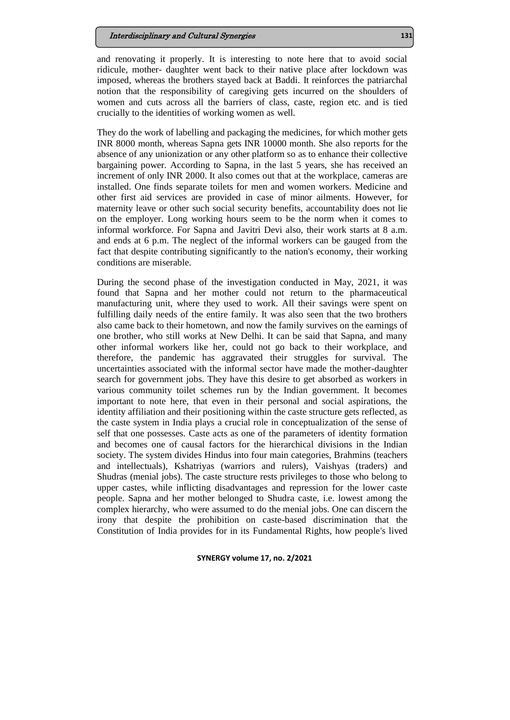and renovating it properly. It is interesting to note here that to avoid social ridicule, mother- daughter went back to their native place after lockdown was imposed, whereas the brothers stayed back at Baddi. It reinforces the patriarchal notion that the responsibility of caregiving gets incurred on the shoulders of women and cuts across all the barriers of class, caste, region etc. and is tied crucially to the identities of working women as well.

They do the work of labelling and packaging the medicines, for which mother gets INR 8000 month, whereas Sapna gets INR 10000 month. She also reports for the absence of any unionization or any other platform so as to enhance their collective bargaining power. According to Sapna, in the last 5 years, she has received an increment of only INR 2000. It also comes out that at the workplace, cameras are installed. One finds separate toilets for men and women workers. Medicine and other first aid services are provided in case of minor ailments. However, for maternity leave or other such social security benefits, accountability does not lie on the employer. Long working hours seem to be the norm when it comes to informal workforce. For Sapna and Javitri Devi also, their work starts at 8 a.m. and ends at 6 p.m. The neglect of the informal workers can be gauged from the fact that despite contributing significantly to the nation's economy, their working conditions are miserable.

During the second phase of the investigation conducted in May, 2021, it was found that Sapna and her mother could not return to the pharmaceutical manufacturing unit, where they used to work. All their savings were spent on fulfilling daily needs of the entire family. It was also seen that the two brothers also came back to their hometown, and now the family survives on the earnings of one brother, who still works at New Delhi. It can be said that Sapna, and many other informal workers like her, could not go back to their workplace, and therefore, the pandemic has aggravated their struggles for survival. The uncertainties associated with the informal sector have made the mother-daughter search for government jobs. They have this desire to get absorbed as workers in various community toilet schemes run by the Indian government. It becomes important to note here, that even in their personal and social aspirations, the identity affiliation and their positioning within the caste structure gets reflected, as the caste system in India plays a crucial role in conceptualization of the sense of self that one possesses. Caste acts as one of the parameters of identity formation and becomes one of causal factors for the hierarchical divisions in the Indian society. The system divides Hindus into four main categories, Brahmins (teachers and intellectuals), Kshatriyas (warriors and rulers), Vaishyas (traders) and Shudras (menial jobs). The caste structure rests privileges to those who belong to upper castes, while inflicting disadvantages and repression for the lower caste people. Sapna and her mother belonged to Shudra caste, i.e. lowest among the complex hierarchy, who were assumed to do the menial jobs. One can discern the irony that despite the prohibition on caste-based discrimination that the Constitution of India provides for in its Fundamental Rights, how people's lived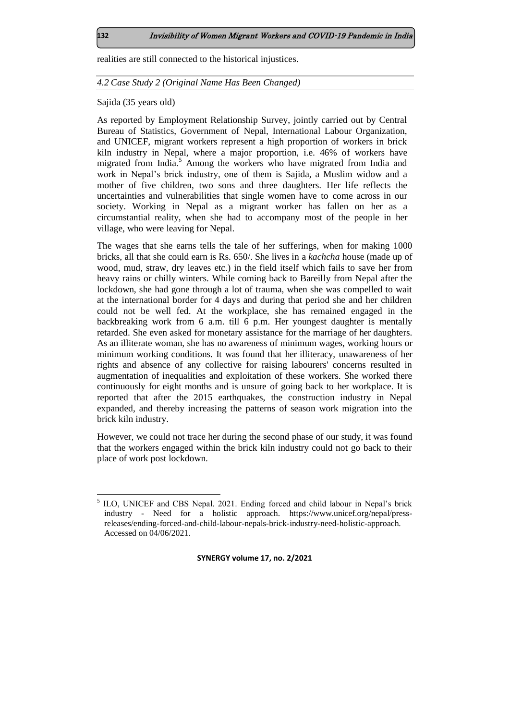realities are still connected to the historical injustices.

### *4.2 Case Study 2 (Original Name Has Been Changed)*

Sajida (35 years old)

As reported by Employment Relationship Survey, jointly carried out by Central Bureau of Statistics, Government of Nepal, International Labour Organization, and UNICEF, migrant workers represent a high proportion of workers in brick kiln industry in Nepal, where a major proportion, i.e. 46% of workers have migrated from India.<sup>5</sup> Among the workers who have migrated from India and work in Nepal's brick industry, one of them is Sajida, a Muslim widow and a mother of five children, two sons and three daughters. Her life reflects the uncertainties and vulnerabilities that single women have to come across in our society. Working in Nepal as a migrant worker has fallen on her as a circumstantial reality, when she had to accompany most of the people in her village, who were leaving for Nepal.

The wages that she earns tells the tale of her sufferings, when for making 1000 bricks, all that she could earn is Rs. 650/. She lives in a *kachcha* house (made up of wood, mud, straw, dry leaves etc.) in the field itself which fails to save her from heavy rains or chilly winters. While coming back to Bareilly from Nepal after the lockdown, she had gone through a lot of trauma, when she was compelled to wait at the international border for 4 days and during that period she and her children could not be well fed. At the workplace, she has remained engaged in the backbreaking work from 6 a.m. till 6 p.m. Her youngest daughter is mentally retarded. She even asked for monetary assistance for the marriage of her daughters. As an illiterate woman, she has no awareness of minimum wages, working hours or minimum working conditions. It was found that her illiteracy, unawareness of her rights and absence of any collective for raising labourers' concerns resulted in augmentation of inequalities and exploitation of these workers. She worked there continuously for eight months and is unsure of going back to her workplace. It is reported that after the 2015 earthquakes, the construction industry in Nepal expanded, and thereby increasing the patterns of season work migration into the brick kiln industry.

However, we could not trace her during the second phase of our study, it was found that the workers engaged within the brick kiln industry could not go back to their place of work post lockdown.

**SYNERGY volume 17, no. 2/2021**

l

<sup>&</sup>lt;sup>5</sup> ILO, UNICEF and CBS Nepal. 2021. Ending forced and child labour in Nepal's brick industry - Need for a holistic approach. [https://www.unicef.org/nepal/press](https://www.unicef.org/nepal/press-releases/ending-forced-and-child-labour-nepals-brick-industry-need-holistic-approach.%20Retrieved%2004/06/2021)[releases/ending-forced-and-child-labour-nepals-brick-industry-need-holistic-approach.](https://www.unicef.org/nepal/press-releases/ending-forced-and-child-labour-nepals-brick-industry-need-holistic-approach.%20Retrieved%2004/06/2021)  Accessed on 04/06/2021.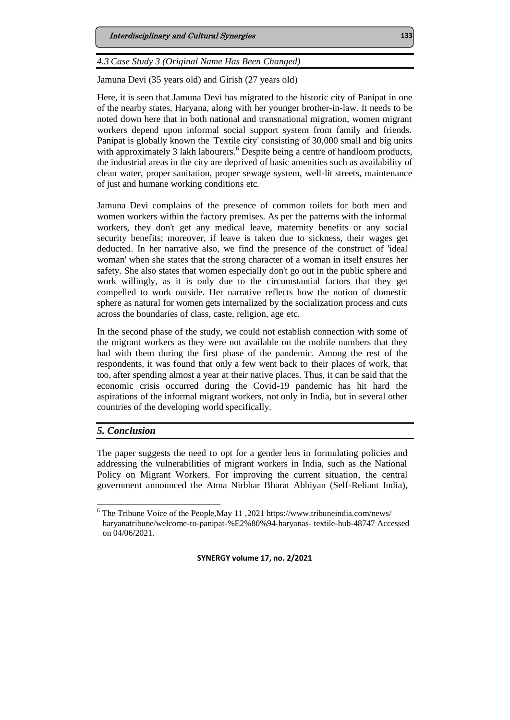*4.3 Case Study 3 (Original Name Has Been Changed)*

Jamuna Devi (35 years old) and Girish (27 years old)

Here, it is seen that Jamuna Devi has migrated to the historic city of Panipat in one of the nearby states, Haryana, along with her younger brother-in-law. It needs to be noted down here that in both national and transnational migration, women migrant workers depend upon informal social support system from family and friends. Panipat is globally known the 'Textile city' consisting of 30,000 small and big units with approximately 3 lakh labourers.<sup>6</sup> Despite being a centre of handloom products, the industrial areas in the city are deprived of basic amenities such as availability of clean water, proper sanitation, proper sewage system, well-lit streets, maintenance of just and humane working conditions etc.

Jamuna Devi complains of the presence of common toilets for both men and women workers within the factory premises. As per the patterns with the informal workers, they don't get any medical leave, maternity benefits or any social security benefits; moreover, if leave is taken due to sickness, their wages get deducted. In her narrative also, we find the presence of the construct of 'ideal woman' when she states that the strong character of a woman in itself ensures her safety. She also states that women especially don't go out in the public sphere and work willingly, as it is only due to the circumstantial factors that they get compelled to work outside. Her narrative reflects how the notion of domestic sphere as natural for women gets internalized by the socialization process and cuts across the boundaries of class, caste, religion, age etc.

In the second phase of the study, we could not establish connection with some of the migrant workers as they were not available on the mobile numbers that they had with them during the first phase of the pandemic. Among the rest of the respondents, it was found that only a few went back to their places of work, that too, after spending almost a year at their native places. Thus, it can be said that the economic crisis occurred during the Covid-19 pandemic has hit hard the aspirations of the informal migrant workers, not only in India, but in several other countries of the developing world specifically.

# *5. Conclusion*

l

The paper suggests the need to opt for a gender lens in formulating policies and addressing the vulnerabilities of migrant workers in India, such as the National Policy on Migrant Workers. For improving the current situation, the central government announced the Atma Nirbhar Bharat Abhiyan (Self-Reliant India),

<sup>&</sup>lt;sup>6</sup> The Tribune Voice of the People, May 11, 202[1 https://www.tribuneindia.com/news/](https://www.tribuneindia.com/news/haryanatribune/welcome-to-panipat-%E2%80%94-haryanas-) [haryanatribune/welcome-to-panipat-%E2%80%94-haryanas-](https://www.tribuneindia.com/news/haryanatribune/welcome-to-panipat-%E2%80%94-haryanas-) [textile-hub-48747 A](https://www.tribuneindia.com/news/haryanatribune/welcome-to-panipat-%E2%80%94-haryanas-textile-hub-48747)ccessed on 04/06/2021.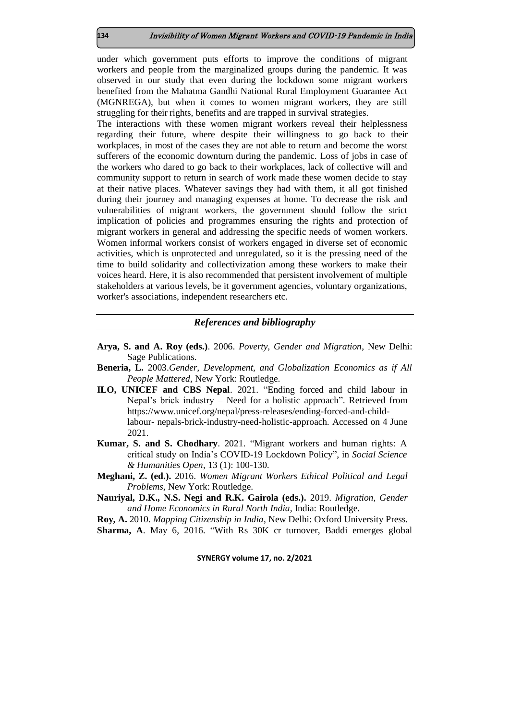under which government puts efforts to improve the conditions of migrant workers and people from the marginalized groups during the pandemic. It was observed in our study that even during the lockdown some migrant workers benefited from the Mahatma Gandhi National Rural Employment Guarantee Act (MGNREGA), but when it comes to women migrant workers, they are still struggling for their rights, benefits and are trapped in survival strategies.

The interactions with these women migrant workers reveal their helplessness regarding their future, where despite their willingness to go back to their workplaces, in most of the cases they are not able to return and become the worst sufferers of the economic downturn during the pandemic. Loss of jobs in case of the workers who dared to go back to their workplaces, lack of collective will and community support to return in search of work made these women decide to stay at their native places. Whatever savings they had with them, it all got finished during their journey and managing expenses at home. To decrease the risk and vulnerabilities of migrant workers, the government should follow the strict implication of policies and programmes ensuring the rights and protection of migrant workers in general and addressing the specific needs of women workers. Women informal workers consist of workers engaged in diverse set of economic activities, which is unprotected and unregulated, so it is the pressing need of the time to build solidarity and collectivization among these workers to make their voices heard. Here, it is also recommended that persistent involvement of multiple stakeholders at various levels, be it government agencies, voluntary organizations, worker's associations, independent researchers etc.

### *References and bibliography*

- **Arya, S. and A. Roy (eds.)**. 2006. *Poverty, Gender and Migration*, New Delhi: Sage Publications.
- **Beneria, L.** 2003.*Gender, Development, and Globalization Economics as if All People Mattered,* New York: Routledge.
- **ILO, UNICEF and CBS Nepal**. 2021. "Ending forced and child labour in Nepal's brick industry – Need for a holistic approach". Retrieved from [https://www.unicef.org/nepal/press-releases/ending-forced-and-child](https://www.unicef.org/nepal/press-releases/ending-forced-and-child-labour-nepals-brick-industry-need-holistic-approach.%20%20Retrieved%2004/06/2021)[labour-](https://www.unicef.org/nepal/press-releases/ending-forced-and-child-labour-nepals-brick-industry-need-holistic-approach.%20%20Retrieved%2004/06/2021) [nepals-brick-industry-need-holistic-approach. A](https://www.unicef.org/nepal/press-releases/ending-forced-and-child-labour-nepals-brick-industry-need-holistic-approach.%20%20Retrieved%2004/06/2021)ccessed on 4 June 2021.
- **Kumar, S. and S. Chodhary**. 2021. "Migrant workers and human rights: A critical study on India's COVID-19 Lockdown Policy", in *Social Science & Humanities Open*, 13 (1): 100-130.
- **Meghani, Z. (ed.).** 2016. *Women Migrant Workers Ethical Political and Legal Problems*, New York: Routledge.
- **Nauriyal, D.K., N.S. Negi and R.K. Gairola (eds.).** 2019. *Migration, Gender and Home Economics in Rural North India,* India: Routledge.

**Roy, A.** 2010. *Mapping Citizenship in India*, New Delhi: Oxford University Press.

**Sharma, A**. May 6, 2016. "With Rs 30K cr turnover, Baddi emerges global